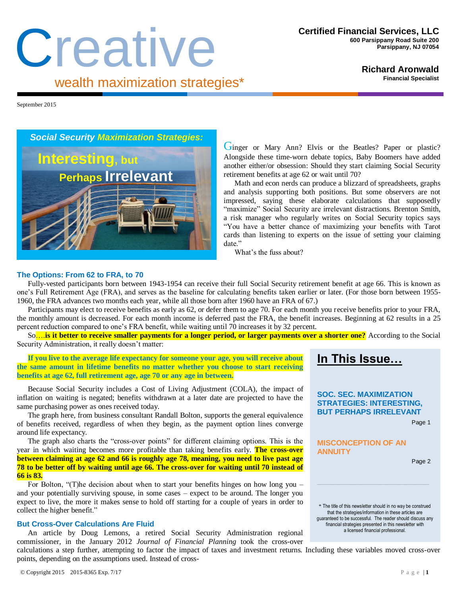# Creative wealth maximization strategies\*

**Richard Aronwald**

**Financial Specialist**

September 2015



Ginger or Mary Ann? Elvis or the Beatles? Paper or plastic? Alongside these time-worn debate topics, Baby Boomers have added another either/or obsession: Should they start claiming Social Security retirement benefits at age 62 or wait until 70?

Math and econ nerds can produce a blizzard of spreadsheets, graphs and analysis supporting both positions. But some observers are not impressed, saying these elaborate calculations that supposedly "maximize" Social Security are irrelevant distractions. Brenton Smith, a risk manager who regularly writes on Social Security topics says "You have a better chance of maximizing your benefits with Tarot cards than listening to experts on the issue of setting your claiming date."

What's the fuss about?

# **The Options: From 62 to FRA, to 70**

Fully-vested participants born between 1943-1954 can receive their full Social Security retirement benefit at age 66. This is known as one's Full Retirement Age (FRA), and serves as the baseline for calculating benefits taken earlier or later. (For those born between 1955- 1960, the FRA advances two months each year, while all those born after 1960 have an FRA of 67.)

Participants may elect to receive benefits as early as 62, or defer them to age 70. For each month you receive benefits prior to your FRA, the monthly amount is decreased. For each month income is deferred past the FRA, the benefit increases. Beginning at 62 results in a 25 percent reduction compared to one's FRA benefit, while waiting until 70 increases it by 32 percent.

So….**is it better to receive smaller payments for a longer period, or larger payments over a shorter one?** According to the Social Security Administration, it really doesn't matter:

## **If you live to the average life expectancy for someone your age, you will receive about the same amount in lifetime benefits no matter whether you choose to start receiving benefits at age 62, full retirement age, age 70 or any age in between.**

Because Social Security includes a Cost of Living Adjustment (COLA), the impact of inflation on waiting is negated; benefits withdrawn at a later date are projected to have the same purchasing power as ones received today.

The graph here, from business consultant Randall Bolton, supports the general equivalence of benefits received, regardless of when they begin, as the payment option lines converge around life expectancy.

The graph also charts the "cross-over points" for different claiming options. This is the year in which waiting becomes more profitable than taking benefits early. **The cross-over between claiming at age 62 and 66 is roughly age 78, meaning, you need to live past age 78 to be better off by waiting until age 66. The cross-over for waiting until 70 instead of 66 is 83.**

For Bolton, "(T)he decision about when to start your benefits hinges on how long you – and your potentially surviving spouse, in some cases – expect to be around. The longer you expect to live, the more it makes sense to hold off starting for a couple of years in order to collect the higher benefit."

## **But Cross-Over Calculations Are Fluid**

An article by Doug Lemons, a retired Social Security Administration regional commissioner, in the January 2012 *Journal of Financial Planning* took the cross-over calculations a step further, attempting to factor the impact of taxes and investment returns. Including these variables moved cross-over points, depending on the assumptions used. Instead of cross-

**SOC. SEC. MAXIMIZATION STRATEGIES: INTERESTING,**

**In This Issue…**

**BUT PERHAPS IRRELEVANT**

Page 1

# **MISCONCEPTION OF AN ANNUITY**

Page 2

\* The title of this newsletter should in no way be construed that the strategies/information in these articles are guaranteed to be successful. The reader should discuss any financial strategies presented in this newsletter with a licensed financial professional.

**\_\_\_\_\_\_\_\_\_\_\_\_\_\_\_\_\_\_\_\_\_\_\_\_\_\_\_\_\_\_\_\_\_\_\_\_\_\_\_\_\_\_\_\_\_\_\_\_\_\_\_\_\_\_\_\_\_\_\_\_\_\_\_\_\_\_\_\_\_\_\_\_\_\_\_\_\_\_\_\_\_\_\_\_\_\_\_\_\_\_\_\_\_\_\_\_\_\_\_\_\_\_\_\_\_\_\_\_\_\_\_\_\_\_\_\_\_\_\_\_\_\_\_\_\_\_\_\_\_\_\_\_\_\_\_\_\_\_\_\_\_\_\_\_\_\_\_\_\_\_\_\_\_\_\_\_\_\_\_\_\_\_\_\_\_\_\_\_\_\_\_\_\_\_\_\_\_\_**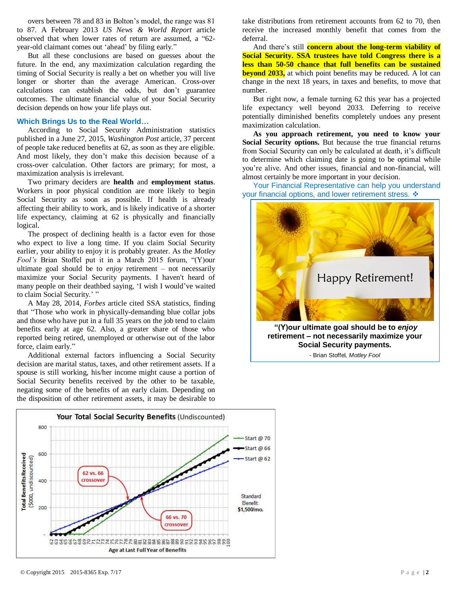overs between 78 and 83 in Bolton's model, the range was 81 to 87. A February 2013 *US News & World Report* article observed that when lower rates of return are assumed, a "62 year-old claimant comes out 'ahead' by filing early."

But all these conclusions are based on guesses about the future. In the end, any maximization calculation regarding the timing of Social Security is really a bet on whether you will live longer or shorter than the average American. Cross-over calculations can establish the odds, but don't guarantee outcomes. The ultimate financial value of your Social Security decision depends on how your life plays out.

#### **Which Brings Us to the Real World…**

According to Social Security Administration statistics published in a June 27, 2015, *Washington Post* article, 37 percent of people take reduced benefits at 62, as soon as they are eligible. And most likely, they don't make this decision because of a cross-over calculation. Other factors are primary; for most, a maximization analysis is irrelevant.

Two primary deciders are **health** and **employment status**. Workers in poor physical condition are more likely to begin Social Security as soon as possible. If health is already affecting their ability to work, and is likely indicative of a shorter life expectancy, claiming at 62 is physically and financially logical.

The prospect of declining health is a factor even for those who expect to live a long time. If you claim Social Security earlier, your ability to enjoy it is probably greater. As the *Motley Fool's* Brian Stoffel put it in a March 2015 forum, "(Y)our ultimate goal should be to *enjoy* retirement – not necessarily maximize your Social Security payments. I haven't heard of many people on their deathbed saying, 'I wish I would've waited to claim Social Security.' "

A May 28, 2014, *Forbes* article cited SSA statistics, finding that "Those who work in physically-demanding blue collar jobs and those who have put in a full 35 years on the job tend to claim benefits early at age 62. Also, a greater share of those who reported being retired, unemployed or otherwise out of the labor force, claim early."

Additional external factors influencing a Social Security decision are marital status, taxes, and other retirement assets. If a spouse is still working, his/her income might cause a portion of Social Security benefits received by the other to be taxable, negating some of the benefits of an early claim. Depending on the disposition of other retirement assets, it may be desirable to

take distributions from retirement accounts from 62 to 70, then receive the increased monthly benefit that comes from the deferral.

And there's still **concern about the long-term viability of Social Security. SSA trustees have told Congress there is a less than 50-50 chance that full benefits can be sustained beyond 2033,** at which point benefits may be reduced. A lot can change in the next 18 years, in taxes and benefits, to move that number.

But right now, a female turning 62 this year has a projected life expectancy well beyond 2033. Deferring to receive potentially diminished benefits completely undoes any present maximization calculation.

**As you approach retirement, you need to know your Social Security options.** But because the true financial returns from Social Security can only be calculated at death, it's difficult to determine which claiming date is going to be optimal while you're alive. And other issues, financial and non-financial, will almost certainly be more important in your decision.

Your Financial Representative can help you understand your financial options, and lower retirement stress. ❖



**retirement – not necessarily maximize your Social Security payments.**  - Brian Stoffel*, Motley Fool*

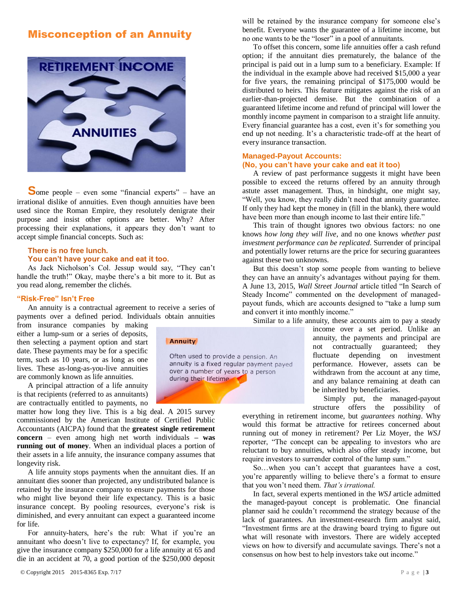# Misconception of an Annuity



**S**ome people – even some "financial experts" – have an irrational dislike of annuities. Even though annuities have been used since the Roman Empire, they resolutely denigrate their purpose and insist other options are better. Why? After processing their explanations, it appears they don't want to accept simple financial concepts. Such as:

## **There is no free lunch. You can't have your cake and eat it too.**

As Jack Nicholson's Col. Jessup would say, "They can't handle the truth!" Okay, maybe there's a bit more to it. But as you read along, remember the clichés.

## **"Risk-Free" Isn't Free**

An annuity is a contractual agreement to receive a series of payments over a defined period. Individuals obtain annuities

from insurance companies by making either a lump-sum or a series of deposits, then selecting a payment option and start date. These payments may be for a specific term, such as 10 years, or as long as one lives. These as-long-as-you-live annuities are commonly known as life annuities.

A principal attraction of a life annuity is that recipients (referred to as annuitants) are contractually entitled to payments, no

matter how long they live. This is a big deal. A 2015 survey commissioned by the American Institute of Certified Public Accountants (AICPA) found that the **greatest single retirement concern** – even among high net worth individuals **– was running out of money**. When an individual places a portion of their assets in a life annuity, the insurance company assumes that longevity risk.

A life annuity stops payments when the annuitant dies. If an annuitant dies sooner than projected, any undistributed balance is retained by the insurance company to ensure payments for those who might live beyond their life expectancy. This is a basic insurance concept. By pooling resources, everyone's risk is diminished, and every annuitant can expect a guaranteed income for life.

For annuity-haters, here's the rub: What if you're an annuitant who doesn't live to expectancy? If, for example, you give the insurance company \$250,000 for a life annuity at 65 and die in an accident at 70, a good portion of the \$250,000 deposit

Annuity

Often used to provide a pension. An annuity is a fixed regular payment payed over a number of years to a person during their lifetime

will be retained by the insurance company for someone else's benefit. Everyone wants the guarantee of a lifetime income, but no one wants to be the "loser" in a pool of annuitants.

To offset this concern, some life annuities offer a cash refund option; if the annuitant dies prematurely, the balance of the principal is paid out in a lump sum to a beneficiary. Example: If the individual in the example above had received \$15,000 a year for five years, the remaining principal of \$175,000 would be distributed to heirs. This feature mitigates against the risk of an earlier-than-projected demise. But the combination of a guaranteed lifetime income and refund of principal will lower the monthly income payment in comparison to a straight life annuity. Every financial guarantee has a cost, even it's for something you end up not needing. It's a characteristic trade-off at the heart of every insurance transaction.

# **Managed-Payout Accounts: (No, you can't have your cake and eat it too)**

A review of past performance suggests it might have been possible to exceed the returns offered by an annuity through astute asset management. Thus, in hindsight, one might say, "Well, you know, they really didn't need that annuity guarantee. If only they had kept the money in (fill in the blank), there would have been more than enough income to last their entire life."

This train of thought ignores two obvious factors: no one knows *how long they will live*, and no one knows *whether past investment performance can be replicated*. Surrender of principal and potentially lower returns are the price for securing guarantees against these two unknowns.

But this doesn't stop some people from wanting to believe they can have an annuity's advantages without paying for them. A June 13, 2015, *Wall Street Journal* article titled "In Search of Steady Income" commented on the development of managedpayout funds, which are accounts designed to "take a lump sum and convert it into monthly income."

Similar to a life annuity, these accounts aim to pay a steady

income over a set period. Unlike an annuity, the payments and principal are not contractually guaranteed; they fluctuate depending on investment performance. However, assets can be withdrawn from the account at any time, and any balance remaining at death can be inherited by beneficiaries.

Simply put, the managed-payout structure offers the possibility of

everything in retirement income, but *guarantees nothing*. Why would this format be attractive for retirees concerned about running out of money in retirement? Per Liz Moyer, the *WSJ* reporter, "The concept can be appealing to investors who are reluctant to buy annuities, which also offer steady income, but require investors to surrender control of the lump sum."

So…when you can't accept that guarantees have a cost, you're apparently willing to believe there's a format to ensure that you won't need them. *That's irrational.* 

In fact, several experts mentioned in the *WSJ* article admitted the managed-payout concept is problematic. One financial planner said he couldn't recommend the strategy because of the lack of guarantees. An investment-research firm analyst said, "Investment firms are at the drawing board trying to figure out what will resonate with investors. There are widely accepted views on how to diversify and accumulate savings. There's not a consensus on how best to help investors take out income."